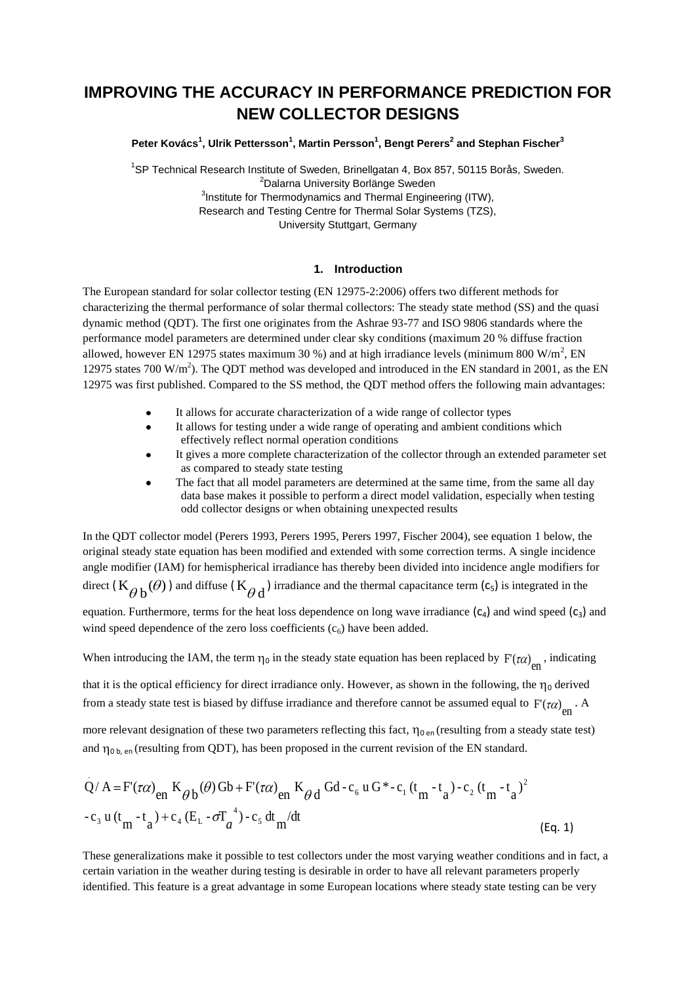# **IMPROVING THE ACCURACY IN PERFORMANCE PREDICTION FOR NEW COLLECTOR DESIGNS**

## **Peter Kovács<sup>1</sup> , Ulrik Pettersson<sup>1</sup> , Martin Persson<sup>1</sup> , Bengt Perers<sup>2</sup> and Stephan Fischer<sup>3</sup>**

<sup>1</sup>SP Technical Research Institute of Sweden, Brinellgatan 4, Box 857, 50115 Borås, Sweden. <sup>2</sup>Dalarna University Borlänge Sweden <sup>3</sup>Institute for Thermodynamics and Thermal Engineering (ITW), Research and Testing Centre for Thermal Solar Systems (TZS), University Stuttgart, Germany

# **1. Introduction**

The European standard for solar collector testing (EN 12975-2:2006) offers two different methods for characterizing the thermal performance of solar thermal collectors: The steady state method (SS) and the quasi dynamic method (QDT). The first one originates from the Ashrae 93-77 and ISO 9806 standards where the performance model parameters are determined under clear sky conditions (maximum 20 % diffuse fraction allowed, however EN 12975 states maximum 30 %) and at high irradiance levels (minimum 800  $W/m^2$ , EN 12975 states 700  $W/m<sup>2</sup>$ ). The QDT method was developed and introduced in the EN standard in 2001, as the EN 12975 was first published. Compared to the SS method, the QDT method offers the following main advantages:

- It allows for accurate characterization of a wide range of collector types
- $\bullet$ It allows for testing under a wide range of operating and ambient conditions which effectively reflect normal operation conditions
- It gives a more complete characterization of the collector through an extended parameter set as compared to steady state testing
- The fact that all model parameters are determined at the same time, from the same all day data base makes it possible to perform a direct model validation, especially when testing odd collector designs or when obtaining unexpected results

In the QDT collector model (Perers 1993, Perers 1995, Perers 1997, Fischer 2004), see equation 1 below, the original steady state equation has been modified and extended with some correction terms. A single incidence angle modifier (IAM) for hemispherical irradiance has thereby been divided into incidence angle modifiers for direct ( $K_{\theta b}(\theta)$ ) and diffuse ( $K_{\theta d}$ ) irradiance and the thermal capacitance term (c<sub>5</sub>) is integrated in the

equation. Furthermore, terms for the heat loss dependence on long wave irradiance  $(c_4)$  and wind speed  $(c_3)$  and wind speed dependence of the zero loss coefficients  $(c_6)$  have been added.

When introducing the IAM, the term  $\eta_0$  in the steady state equation has been replaced by  $F'(\tau \alpha)$ <sub>en</sub>, indicating

that it is the optical efficiency for direct irradiance only. However, as shown in the following, the  $\eta_0$  derived from a steady state test is biased by diffuse irradiance and therefore cannot be assumed equal to  $F'(\tau \alpha)$  . A

more relevant designation of these two parameters reflecting this fact,  $\eta_{0 \text{ en}}$  (resulting from a steady state test) and  $\eta_{0 \, b, \, \text{en}}$  (resulting from QDT), has been proposed in the current revision of the EN standard.

$$
Q/A = F'(\tau \alpha)_{en} K_{\theta b}(\theta) Gb + F'(\tau \alpha)_{en} K_{\theta d} Gd - c_6 u G^* - c_1 (t_m - t_a) - c_2 (t_m - t_a)^2
$$
  
- c<sub>3</sub> u (t<sub>m</sub> - t<sub>a</sub>) + c<sub>4</sub> (E<sub>L</sub> -  $\sigma T_a^4$ ) - c<sub>5</sub> dt<sub>m</sub>/dt (Eq. 1)

These generalizations make it possible to test collectors under the most varying weather conditions and in fact, a certain variation in the weather during testing is desirable in order to have all relevant parameters properly identified. This feature is a great advantage in some European locations where steady state testing can be very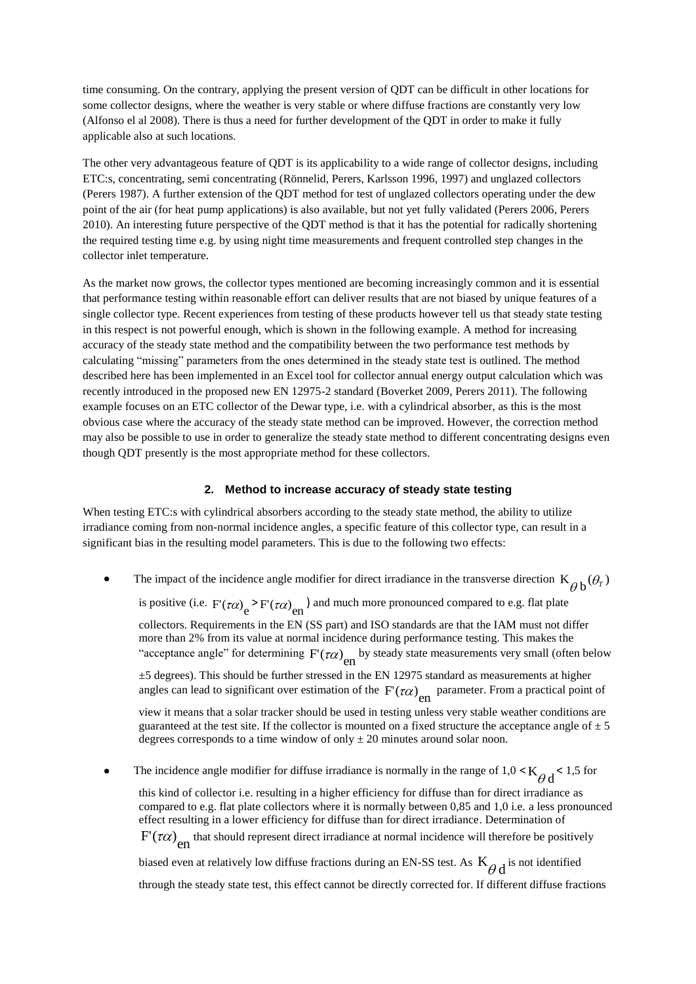time consuming. On the contrary, applying the present version of QDT can be difficult in other locations for some collector designs, where the weather is very stable or where diffuse fractions are constantly very low (Alfonso el al 2008). There is thus a need for further development of the QDT in order to make it fully applicable also at such locations.

The other very advantageous feature of QDT is its applicability to a wide range of collector designs, including ETC:s, concentrating, semi concentrating (Rönnelid, Perers, Karlsson 1996, 1997) and unglazed collectors (Perers 1987). A further extension of the QDT method for test of unglazed collectors operating under the dew point of the air (for heat pump applications) is also available, but not yet fully validated (Perers 2006, Perers 2010). An interesting future perspective of the QDT method is that it has the potential for radically shortening the required testing time e.g. by using night time measurements and frequent controlled step changes in the collector inlet temperature.

As the market now grows, the collector types mentioned are becoming increasingly common and it is essential that performance testing within reasonable effort can deliver results that are not biased by unique features of a single collector type. Recent experiences from testing of these products however tell us that steady state testing in this respect is not powerful enough, which is shown in the following example. A method for increasing accuracy of the steady state method and the compatibility between the two performance test methods by calculating "missing" parameters from the ones determined in the steady state test is outlined. The method described here has been implemented in an Excel tool for collector annual energy output calculation which was recently introduced in the proposed new EN 12975-2 standard (Boverket 2009, Perers 2011). The following example focuses on an ETC collector of the Dewar type, i.e. with a cylindrical absorber, as this is the most obvious case where the accuracy of the steady state method can be improved. However, the correction method may also be possible to use in order to generalize the steady state method to different concentrating designs even though QDT presently is the most appropriate method for these collectors.

# **2. Method to increase accuracy of steady state testing**

When testing ETC:s with cylindrical absorbers according to the steady state method, the ability to utilize irradiance coming from non-normal incidence angles, a specific feature of this collector type, can result in a significant bias in the resulting model parameters. This is due to the following two effects:

The impact of the incidence angle modifier for direct irradiance in the transverse direction  $K_{\theta}$  b<sup>( $\theta$ </sup><sub>T</sub>)

is positive (i.e.  $F'(\tau \alpha)_{\text{e}}$  >  $F'(\tau \alpha)_{\text{en}}$ ) and much more pronounced compared to e.g. flat plate collectors. Requirements in the EN (SS part) and ISO standards are that the IAM must not differ

more than 2% from its value at normal incidence during performance testing. This makes the "acceptance angle" for determining  $F'(\tau \alpha)$  by steady state measurements very small (often below

 $\pm$ 5 degrees). This should be further stressed in the EN 12975 standard as measurements at higher angles can lead to significant over estimation of the  $F'(\tau \alpha)$  parameter. From a practical point of

view it means that a solar tracker should be used in testing unless very stable weather conditions are guaranteed at the test site. If the collector is mounted on a fixed structure the acceptance angle of  $\pm$  5 degrees corresponds to a time window of only  $\pm$  20 minutes around solar noon.

The incidence angle modifier for diffuse irradiance is normally in the range of  $1,0 < K_{\theta d} < 1.5$  for

this kind of collector i.e. resulting in a higher efficiency for diffuse than for direct irradiance as compared to e.g. flat plate collectors where it is normally between 0,85 and 1,0 i.e. a less pronounced effect resulting in a lower efficiency for diffuse than for direct irradiance. Determination of  $F'(\tau \alpha)$  that should represent direct irradiance at normal incidence will therefore be positively biased even at relatively low diffuse fractions during an EN-SS test. As  $K_{\theta d}$  is not identified through the steady state test, this effect cannot be directly corrected for. If different diffuse fractions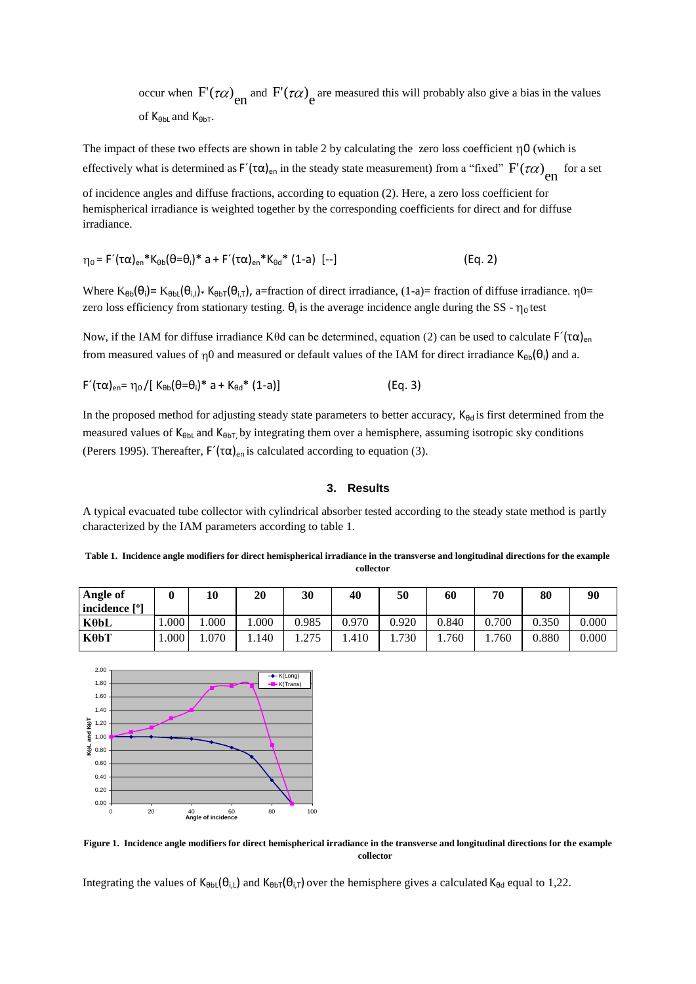occur when  $F'(\tau\alpha)$  and  $F'(\tau\alpha)$  are measured this will probably also give a bias in the values of  $K_{\theta bL}$  and  $K_{\theta bT}$ .

The impact of these two effects are shown in table 2 by calculating the zero loss coefficient  $\eta$ 0 (which is effectively what is determined as  $F'(\tau\alpha)_{en}$  in the steady state measurement) from a "fixed"  $F'(\tau\alpha)_{en}$  for a set

of incidence angles and diffuse fractions, according to equation (2). Here, a zero loss coefficient for hemispherical irradiance is weighted together by the corresponding coefficients for direct and for diffuse irradiance.

$$
\eta_0 = F'(\tau \alpha)_{en} * K_{\theta b}(\theta = \theta_i) * a + F'(\tau \alpha)_{en} * K_{\theta d} * (1-a) [-1]
$$
 (Eq. 2)

Where  $K_{\theta b}(\theta_i)$ =  $K_{\theta bL}(\theta_{i,l})$   $K_{\theta bT}(\theta_{i,T})$ , a=fraction of direct irradiance, (1-a)= fraction of diffuse irradiance.  $\eta$ 0= zero loss efficiency from stationary testing.  $\theta_i$  is the average incidence angle during the SS -  $\eta_0$  test

Now, if the IAM for diffuse irradiance Kθd can be determined, equation (2) can be used to calculate  $F'(τα)_{en}$ from measured values of  $\eta$ 0 and measured or default values of the IAM for direct irradiance K $_{\theta b}(\theta_i)$  and a.

$$
F'(\tau\alpha)_{en} = \eta_0 / [K_{\theta b}(\theta = \theta_i)^* a + K_{\theta d}^* (1-a)]
$$
 (Eq. 3)

In the proposed method for adjusting steady state parameters to better accuracy,  $K_{\theta d}$  is first determined from the measured values of  $K_{\theta bL}$  and  $K_{\theta bT}$ , by integrating them over a hemisphere, assuming isotropic sky conditions (Perers 1995). Thereafter,  $F'(T\alpha)_{en}$  is calculated according to equation (3).

#### **3. Results**

A typical evacuated tube collector with cylindrical absorber tested according to the steady state method is partly characterized by the IAM parameters according to table 1.

**Table 1. Incidence angle modifiers for direct hemispherical irradiance in the transverse and longitudinal directions for the example collector**

| Angle of        |       | 10   | 20   | 30    | 40    | 50    | 60    | 70          | 80    | 90    |
|-----------------|-------|------|------|-------|-------|-------|-------|-------------|-------|-------|
| incidence $[°]$ |       |      |      |       |       |       |       |             |       |       |
| $K\theta bL$    | .000. | .000 | .000 | 0.985 | 0.970 | 0.920 | 0.840 | 0.700       | 0.350 | 0.000 |
| $K\theta bT$    | 000.  | .070 | .140 | .275  | 1.410 | .730  | .760  | .760<br>1.7 | 0.880 | 0.000 |



**Figure 1. Incidence angle modifiers for direct hemispherical irradiance in the transverse and longitudinal directions for the example collector**

Integrating the values of  $K_{\theta_{bL}}(\theta_{i,L})$  and  $K_{\theta_{bT}}(\theta_{i,T})$  over the hemisphere gives a calculated  $K_{\theta_{d}}$  equal to 1,22.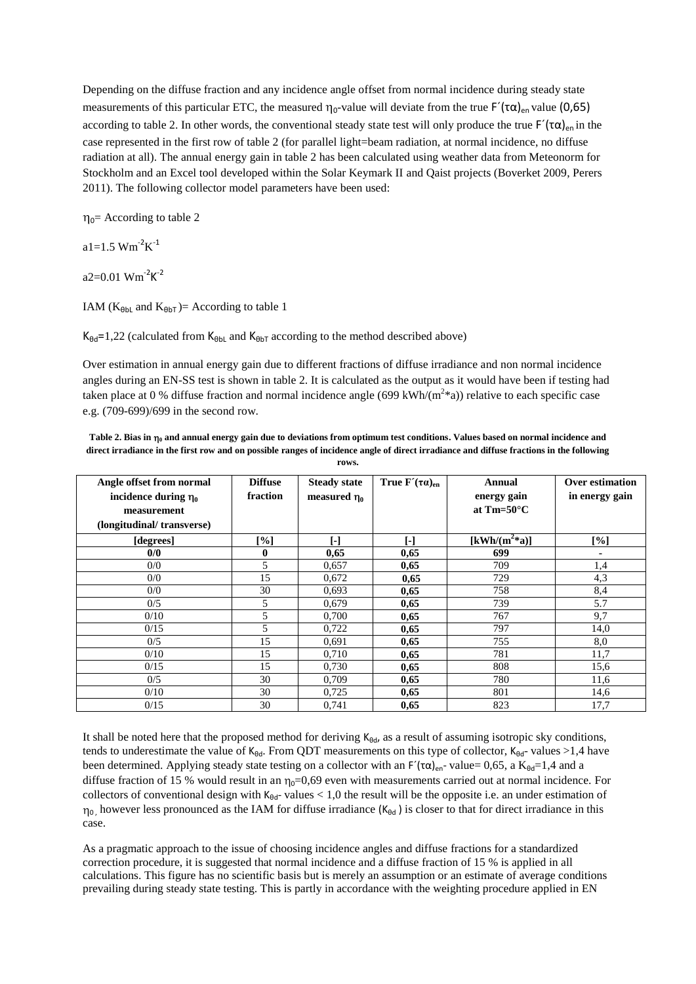Depending on the diffuse fraction and any incidence angle offset from normal incidence during steady state measurements of this particular ETC, the measured  $\eta_0$ -value will deviate from the true  $F'(\tau\alpha)_{en}$  value (0,65) according to table 2. In other words, the conventional steady state test will only produce the true  $F'(\tau\alpha)_{en}$  in the case represented in the first row of table 2 (for parallel light=beam radiation, at normal incidence, no diffuse radiation at all). The annual energy gain in table 2 has been calculated using weather data from Meteonorm for Stockholm and an Excel tool developed within the Solar Keymark II and Qaist projects (Boverket 2009, Perers 2011). The following collector model parameters have been used:

 $\eta_0$ = According to table 2

 $a1 = 1.5$  Wm<sup>-2</sup>K<sup>-1</sup>

 $a2=0.01$  Wm<sup>-2</sup>K<sup>-2</sup>

IAM ( $K_{\theta bL}$  and  $K_{\theta bT}$ ) = According to table 1

 $K_{\theta d}$ =1,22 (calculated from  $K_{\theta bL}$  and  $K_{\theta bT}$  according to the method described above)

Over estimation in annual energy gain due to different fractions of diffuse irradiance and non normal incidence angles during an EN-SS test is shown in table 2. It is calculated as the output as it would have been if testing had taken place at 0 % diffuse fraction and normal incidence angle (699 kWh/ $(m^2*)$ ) relative to each specific case e.g. (709-699)/699 in the second row.

**Table 2. Bias in <sup>0</sup> and annual energy gain due to deviations from optimum test conditions. Values based on normal incidence and direct irradiance in the first row and on possible ranges of incidence angle of direct irradiance and diffuse fractions in the following** 

| Angle offset from normal<br>incidence during $\eta_0$<br>measurement<br>(longitudinal/transverse) | <b>Diffuse</b><br>fraction | <b>Steady state</b><br>measured $\eta_0$ | True $F'(\tau a)_{en}$ | Annual<br>energy gain<br>at Tm= $50^{\circ}$ C              | <b>Over estimation</b><br>in energy gain |
|---------------------------------------------------------------------------------------------------|----------------------------|------------------------------------------|------------------------|-------------------------------------------------------------|------------------------------------------|
| [degrees]                                                                                         | [%]                        | [-]                                      | $\lceil - \rceil$      | $\left[\frac{\text{kWh}}{\text{m}^2 \cdot \text{a}}\right]$ | $\lceil \frac{9}{6} \rceil$              |
| 0/0                                                                                               | $\bf{0}$                   | 0,65                                     | 0,65                   | 699                                                         | ۰                                        |
| 0/0                                                                                               | 5                          | 0,657                                    | 0,65                   | 709                                                         | 1,4                                      |
| 0/0                                                                                               | 15                         | 0,672                                    | 0,65                   | 729                                                         | 4,3                                      |
| 0/0                                                                                               | 30                         | 0.693                                    | 0,65                   | 758                                                         | 8,4                                      |
| 0/5                                                                                               | 5                          | 0,679                                    | 0,65                   | 739                                                         | 5.7                                      |
| 0/10                                                                                              | 5                          | 0,700                                    | 0,65                   | 767                                                         | 9,7                                      |
| 0/15                                                                                              | 5                          | 0,722                                    | 0,65                   | 797                                                         | 14,0                                     |
| 0/5                                                                                               | 15                         | 0,691                                    | 0,65                   | 755                                                         | 8,0                                      |
| 0/10                                                                                              | 15                         | 0,710                                    | 0,65                   | 781                                                         | 11,7                                     |
| 0/15                                                                                              | 15                         | 0,730                                    | 0,65                   | 808                                                         | 15,6                                     |
| 0/5                                                                                               | 30                         | 0,709                                    | 0,65                   | 780                                                         | 11,6                                     |
| 0/10                                                                                              | 30                         | 0,725                                    | 0,65                   | 801                                                         | 14,6                                     |
| 0/15                                                                                              | 30                         | 0,741                                    | 0,65                   | 823                                                         | 17,7                                     |

**rows.**

It shall be noted here that the proposed method for deriving  $K_{\theta d}$ , as a result of assuming isotropic sky conditions, tends to underestimate the value of  $K_{\theta d}$ . From QDT measurements on this type of collector,  $K_{\theta d}$ - values >1,4 have been determined. Applying steady state testing on a collector with an  $F'(T\alpha)_{en}$ -value= 0,65, a K<sub>θd</sub>=1,4 and a diffuse fraction of 15 % would result in an  $\eta_0=0.69$  even with measurements carried out at normal incidence. For collectors of conventional design with  $K_{\theta d}$ - values < 1,0 the result will be the opposite i.e. an under estimation of  $\eta_0$ , however less pronounced as the IAM for diffuse irradiance (K<sub>θd</sub>) is closer to that for direct irradiance in this case.

As a pragmatic approach to the issue of choosing incidence angles and diffuse fractions for a standardized correction procedure, it is suggested that normal incidence and a diffuse fraction of 15 % is applied in all calculations. This figure has no scientific basis but is merely an assumption or an estimate of average conditions prevailing during steady state testing. This is partly in accordance with the weighting procedure applied in EN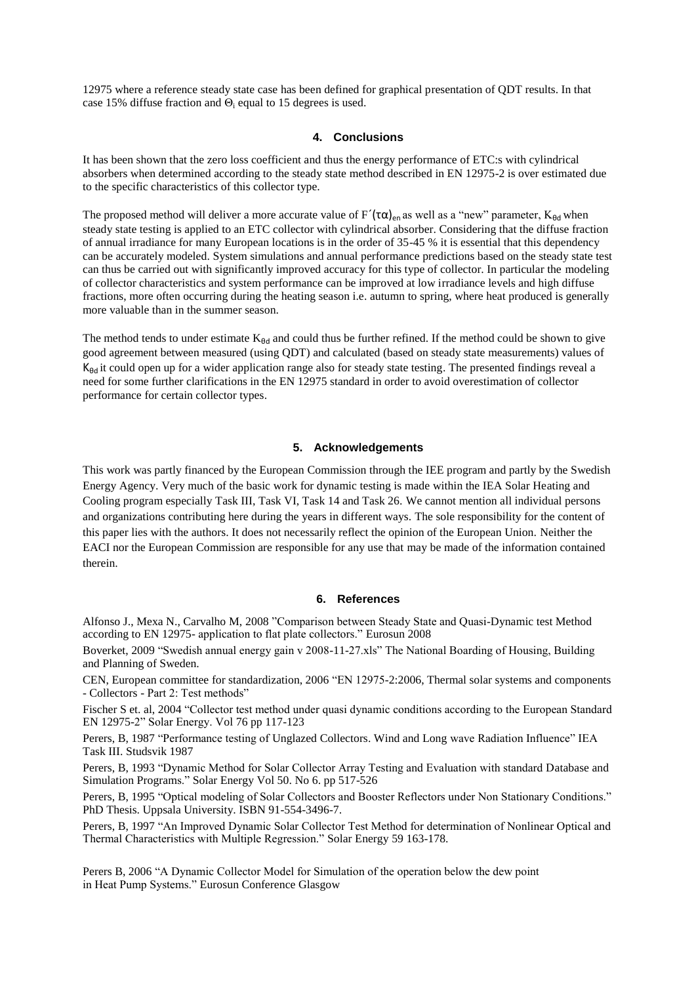12975 where a reference steady state case has been defined for graphical presentation of QDT results. In that case 15% diffuse fraction and  $\Theta_i$  equal to 15 degrees is used.

## **4. Conclusions**

It has been shown that the zero loss coefficient and thus the energy performance of ETC:s with cylindrical absorbers when determined according to the steady state method described in EN 12975-2 is over estimated due to the specific characteristics of this collector type.

The proposed method will deliver a more accurate value of  $F'(T\alpha)_{en}$  as well as a "new" parameter, K<sub>θd</sub> when steady state testing is applied to an ETC collector with cylindrical absorber. Considering that the diffuse fraction of annual irradiance for many European locations is in the order of 35-45 % it is essential that this dependency can be accurately modeled. System simulations and annual performance predictions based on the steady state test can thus be carried out with significantly improved accuracy for this type of collector. In particular the modeling of collector characteristics and system performance can be improved at low irradiance levels and high diffuse fractions, more often occurring during the heating season i.e. autumn to spring, where heat produced is generally more valuable than in the summer season.

The method tends to under estimate  $K_{\theta d}$  and could thus be further refined. If the method could be shown to give good agreement between measured (using QDT) and calculated (based on steady state measurements) values of  $K_{\theta d}$  it could open up for a wider application range also for steady state testing. The presented findings reveal a need for some further clarifications in the EN 12975 standard in order to avoid overestimation of collector performance for certain collector types.

# **5. Acknowledgements**

This work was partly financed by the European Commission through the IEE program and partly by the Swedish Energy Agency. Very much of the basic work for dynamic testing is made within the IEA Solar Heating and Cooling program especially Task III, Task VI, Task 14 and Task 26. We cannot mention all individual persons and organizations contributing here during the years in different ways. The sole responsibility for the content of this paper lies with the authors. It does not necessarily reflect the opinion of the European Union. Neither the EACI nor the European Commission are responsible for any use that may be made of the information contained therein.

## **6. References**

Alfonso J., Mexa N., Carvalho M, 2008 "Comparison between Steady State and Quasi-Dynamic test Method according to EN 12975- application to flat plate collectors." Eurosun 2008

Boverket, 2009 "Swedish annual energy gain v 2008-11-27.xls" The National Boarding of Housing, Building and Planning of Sweden.

CEN, European committee for standardization, 2006 "EN 12975-2:2006, Thermal solar systems and components - Collectors - Part 2: Test methods"

Fischer S et. al, 2004 "Collector test method under quasi dynamic conditions according to the European Standard EN 12975-2" Solar Energy. Vol 76 pp 117-123

Perers, B, 1987 "Performance testing of Unglazed Collectors. Wind and Long wave Radiation Influence" IEA Task III. Studsvik 1987

Perers, B, 1993 "Dynamic Method for Solar Collector Array Testing and Evaluation with standard Database and Simulation Programs." Solar Energy Vol 50. No 6. pp 517-526

Perers, B, 1995 "Optical modeling of Solar Collectors and Booster Reflectors under Non Stationary Conditions." PhD Thesis. Uppsala University. ISBN 91-554-3496-7.

Perers, B, 1997 "An Improved Dynamic Solar Collector Test Method for determination of Nonlinear Optical and Thermal Characteristics with Multiple Regression." Solar Energy 59 163-178.

Perers B, 2006 "A Dynamic Collector Model for Simulation of the operation below the dew point in Heat Pump Systems." Eurosun Conference Glasgow